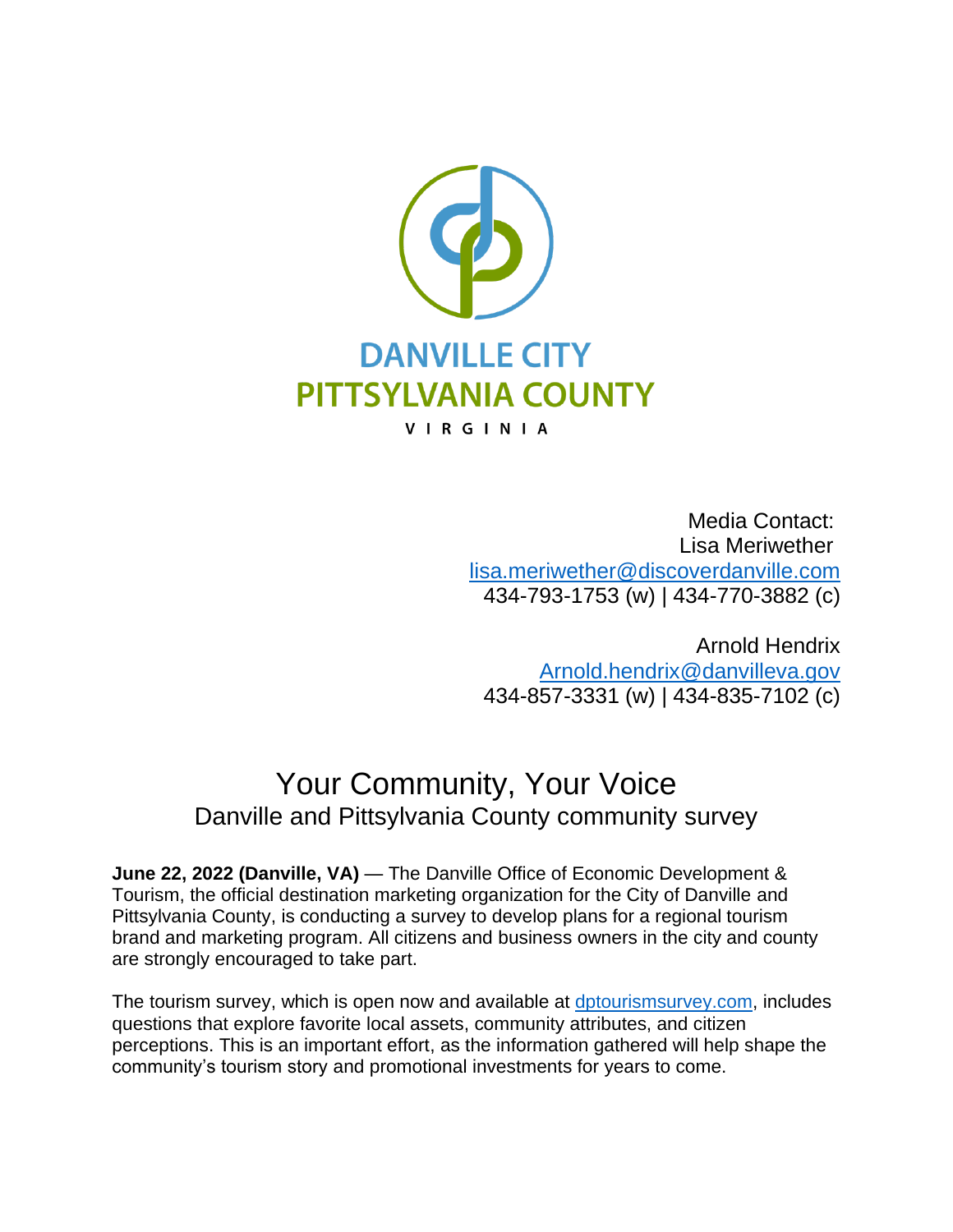

 Media Contact: Lisa Meriwether [lisa.meriwether@discoverdanville.com](mailto:lisa.meriwether@discoverdanville.com) 434-793-1753 (w) | 434-770-3882 (c)

Arnold Hendrix [Arnold.hendrix@danvilleva.gov](mailto:Arnold.hendrix@danvilleva.gov) 434-857-3331 (w) | 434-835-7102 (c)

## Your Community, Your Voice Danville and Pittsylvania County community survey

**June 22, 2022 (Danville, VA)** — The Danville Office of Economic Development & Tourism, the official destination marketing organization for the City of Danville and Pittsylvania County, is conducting a survey to develop plans for a regional tourism brand and marketing program. All citizens and business owners in the city and county are strongly encouraged to take part.

The tourism survey, which is open now and available at [dptourismsurvey.com,](http://dptourismsurvey.com/) includes questions that explore favorite local assets, community attributes, and citizen perceptions. This is an important effort, as the information gathered will help shape the community's tourism story and promotional investments for years to come.